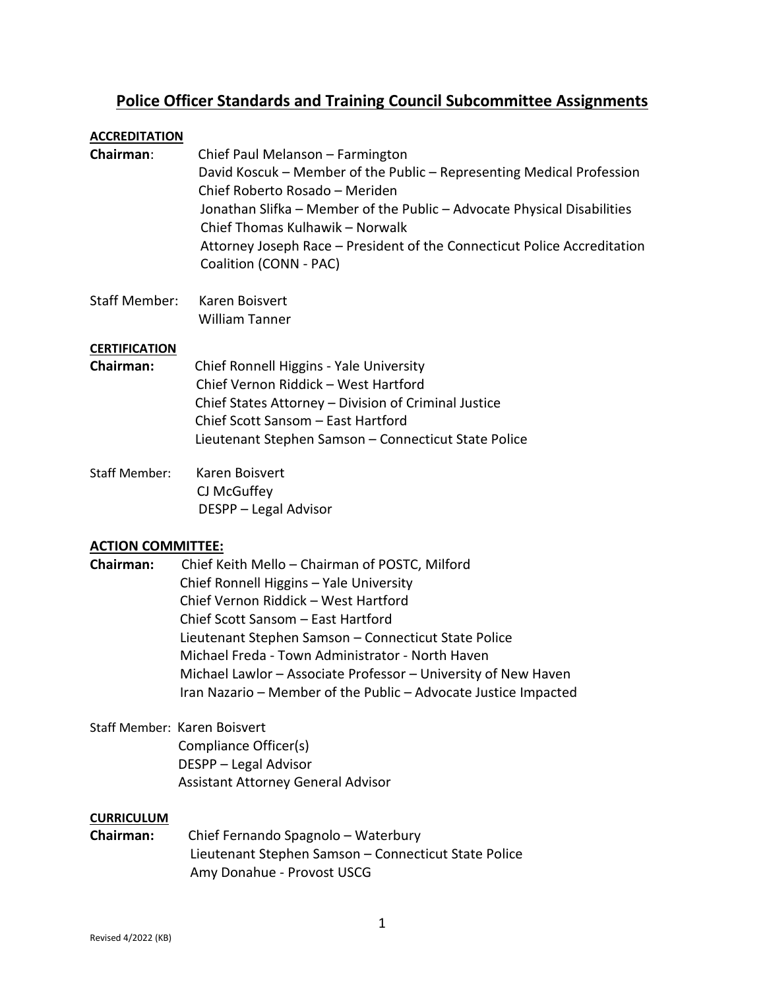# **Police Officer Standards and Training Council Subcommittee Assignments**

### **ACCREDITATION**

- **Chairman**: Chief Paul Melanson Farmington David Koscuk – Member of the Public – Representing Medical Profession Chief Roberto Rosado – Meriden Jonathan Slifka – Member of the Public – Advocate Physical Disabilities Chief Thomas Kulhawik – Norwalk Attorney Joseph Race – President of the Connecticut Police Accreditation Coalition (CONN - PAC)
- Staff Member: Karen Boisvert William Tanner

### **CERTIFICATION**

- **Chairman:** Chief Ronnell Higgins Yale University Chief Vernon Riddick – West Hartford Chief States Attorney – Division of Criminal Justice Chief Scott Sansom – East Hartford Lieutenant Stephen Samson – Connecticut State Police
- Staff Member: Karen Boisvert CJ McGuffey DESPP – Legal Advisor

### **ACTION COMMITTEE:**

**Chairman:** Chief Keith Mello – Chairman of POSTC, Milford Chief Ronnell Higgins – Yale University Chief Vernon Riddick – West Hartford Chief Scott Sansom – East Hartford Lieutenant Stephen Samson – Connecticut State Police Michael Freda - Town Administrator - North Haven Michael Lawlor – Associate Professor – University of New Haven Iran Nazario – Member of the Public – Advocate Justice Impacted

## Staff Member: Karen Boisvert Compliance Officer(s) DESPP – Legal Advisor Assistant Attorney General Advisor

### **CURRICULUM**

**Chairman:** Chief Fernando Spagnolo – Waterbury Lieutenant Stephen Samson – Connecticut State Police Amy Donahue - Provost USCG